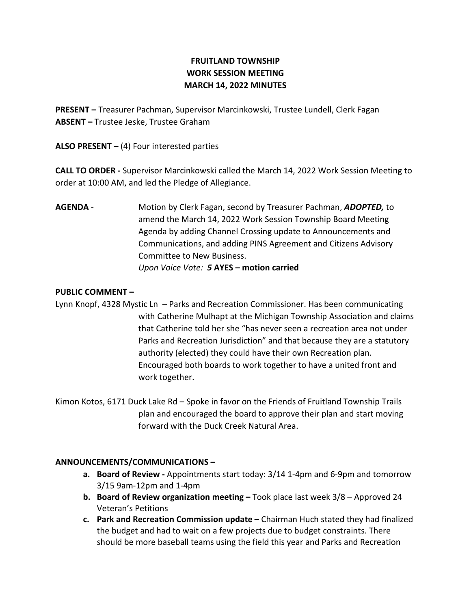# FRUITLAND TOWNSHIP WORK SESSION MEETING MARCH 14, 2022 MINUTES

PRESENT – Treasurer Pachman, Supervisor Marcinkowski, Trustee Lundell, Clerk Fagan ABSENT – Trustee Jeske, Trustee Graham

ALSO PRESENT  $-$  (4) Four interested parties

CALL TO ORDER - Supervisor Marcinkowski called the March 14, 2022 Work Session Meeting to order at 10:00 AM, and led the Pledge of Allegiance.

AGENDA - Motion by Clerk Fagan, second by Treasurer Pachman, ADOPTED, to amend the March 14, 2022 Work Session Township Board Meeting Agenda by adding Channel Crossing update to Announcements and Communications, and adding PINS Agreement and Citizens Advisory Committee to New Business. Upon Voice Vote: 5 AYES – motion carried

## PUBLIC COMMENT –

Lynn Knopf, 4328 Mystic Ln – Parks and Recreation Commissioner. Has been communicating with Catherine Mulhapt at the Michigan Township Association and claims that Catherine told her she "has never seen a recreation area not under Parks and Recreation Jurisdiction" and that because they are a statutory authority (elected) they could have their own Recreation plan. Encouraged both boards to work together to have a united front and work together.

Kimon Kotos, 6171 Duck Lake Rd – Spoke in favor on the Friends of Fruitland Township Trails plan and encouraged the board to approve their plan and start moving forward with the Duck Creek Natural Area.

## ANNOUNCEMENTS/COMMUNICATIONS –

- a. Board of Review Appointments start today: 3/14 1-4pm and 6-9pm and tomorrow 3/15 9am-12pm and 1-4pm
- b. Board of Review organization meeting Took place last week 3/8 Approved 24 Veteran's Petitions
- c. Park and Recreation Commission update Chairman Huch stated they had finalized the budget and had to wait on a few projects due to budget constraints. There should be more baseball teams using the field this year and Parks and Recreation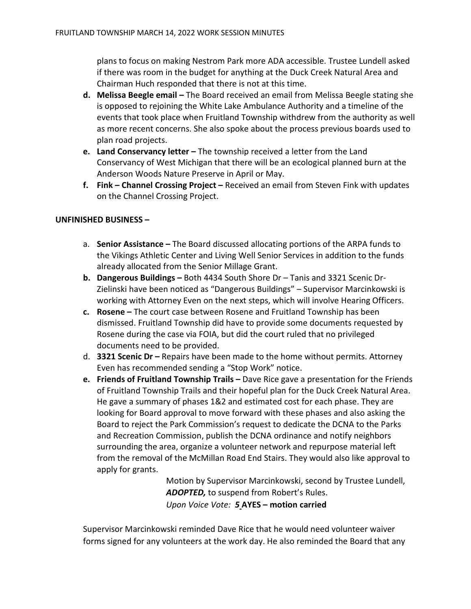plans to focus on making Nestrom Park more ADA accessible. Trustee Lundell asked if there was room in the budget for anything at the Duck Creek Natural Area and Chairman Huch responded that there is not at this time.

- d. Melissa Beegle email The Board received an email from Melissa Beegle stating she is opposed to rejoining the White Lake Ambulance Authority and a timeline of the events that took place when Fruitland Township withdrew from the authority as well as more recent concerns. She also spoke about the process previous boards used to plan road projects.
- e. Land Conservancy letter The township received a letter from the Land Conservancy of West Michigan that there will be an ecological planned burn at the Anderson Woods Nature Preserve in April or May.
- f. Fink Channel Crossing Project Received an email from Steven Fink with updates on the Channel Crossing Project.

### UNFINISHED BUSINESS –

- a. Senior Assistance The Board discussed allocating portions of the ARPA funds to the Vikings Athletic Center and Living Well Senior Services in addition to the funds already allocated from the Senior Millage Grant.
- b. Dangerous Buildings Both 4434 South Shore Dr Tanis and 3321 Scenic Dr-Zielinski have been noticed as "Dangerous Buildings" – Supervisor Marcinkowski is working with Attorney Even on the next steps, which will involve Hearing Officers.
- c. Rosene The court case between Rosene and Fruitland Township has been dismissed. Fruitland Township did have to provide some documents requested by Rosene during the case via FOIA, but did the court ruled that no privileged documents need to be provided.
- d. **3321 Scenic Dr** Repairs have been made to the home without permits. Attorney Even has recommended sending a "Stop Work" notice.
- e. Friends of Fruitland Township Trails Dave Rice gave a presentation for the Friends of Fruitland Township Trails and their hopeful plan for the Duck Creek Natural Area. He gave a summary of phases 1&2 and estimated cost for each phase. They are looking for Board approval to move forward with these phases and also asking the Board to reject the Park Commission's request to dedicate the DCNA to the Parks and Recreation Commission, publish the DCNA ordinance and notify neighbors surrounding the area, organize a volunteer network and repurpose material left from the removal of the McMillan Road End Stairs. They would also like approval to apply for grants.

Motion by Supervisor Marcinkowski, second by Trustee Lundell, ADOPTED, to suspend from Robert's Rules. Upon Voice Vote: 5 AYES – motion carried

Supervisor Marcinkowski reminded Dave Rice that he would need volunteer waiver forms signed for any volunteers at the work day. He also reminded the Board that any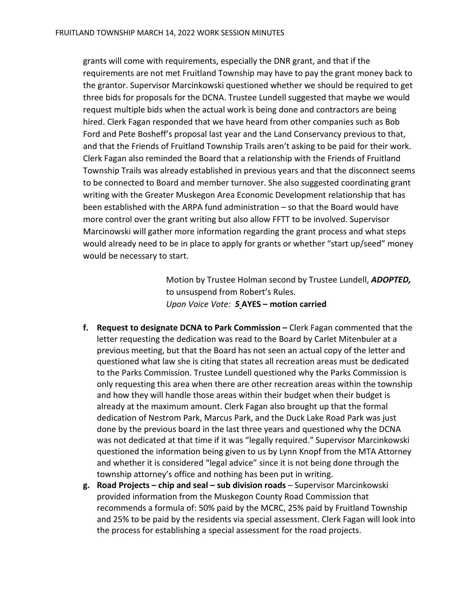grants will come with requirements, especially the DNR grant, and that if the requirements are not met Fruitland Township may have to pay the grant money back to the grantor. Supervisor Marcinkowski questioned whether we should be required to get three bids for proposals for the DCNA. Trustee Lundell suggested that maybe we would request multiple bids when the actual work is being done and contractors are being hired. Clerk Fagan responded that we have heard from other companies such as Bob Ford and Pete Bosheff's proposal last year and the Land Conservancy previous to that, and that the Friends of Fruitland Township Trails aren't asking to be paid for their work. Clerk Fagan also reminded the Board that a relationship with the Friends of Fruitland Township Trails was already established in previous years and that the disconnect seems to be connected to Board and member turnover. She also suggested coordinating grant writing with the Greater Muskegon Area Economic Development relationship that has been established with the ARPA fund administration – so that the Board would have more control over the grant writing but also allow FFTT to be involved. Supervisor Marcinowski will gather more information regarding the grant process and what steps would already need to be in place to apply for grants or whether "start up/seed" money would be necessary to start.

> Motion by Trustee Holman second by Trustee Lundell, ADOPTED, to unsuspend from Robert's Rules. Upon Voice Vote: 5 AYES – motion carried

- f. Request to designate DCNA to Park Commission Clerk Fagan commented that the letter requesting the dedication was read to the Board by Carlet Mitenbuler at a previous meeting, but that the Board has not seen an actual copy of the letter and questioned what law she is citing that states all recreation areas must be dedicated to the Parks Commission. Trustee Lundell questioned why the Parks Commission is only requesting this area when there are other recreation areas within the township and how they will handle those areas within their budget when their budget is already at the maximum amount. Clerk Fagan also brought up that the formal dedication of Nestrom Park, Marcus Park, and the Duck Lake Road Park was just done by the previous board in the last three years and questioned why the DCNA was not dedicated at that time if it was "legally required." Supervisor Marcinkowski questioned the information being given to us by Lynn Knopf from the MTA Attorney and whether it is considered "legal advice" since it is not being done through the township attorney's office and nothing has been put in writing.
- g. Road Projects chip and seal sub division roads Supervisor Marcinkowski provided information from the Muskegon County Road Commission that recommends a formula of: 50% paid by the MCRC, 25% paid by Fruitland Township and 25% to be paid by the residents via special assessment. Clerk Fagan will look into the process for establishing a special assessment for the road projects.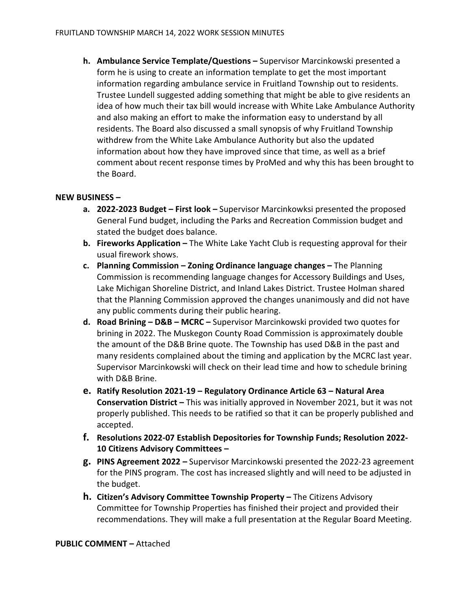h. Ambulance Service Template/Questions – Supervisor Marcinkowski presented a form he is using to create an information template to get the most important information regarding ambulance service in Fruitland Township out to residents. Trustee Lundell suggested adding something that might be able to give residents an idea of how much their tax bill would increase with White Lake Ambulance Authority and also making an effort to make the information easy to understand by all residents. The Board also discussed a small synopsis of why Fruitland Township withdrew from the White Lake Ambulance Authority but also the updated information about how they have improved since that time, as well as a brief comment about recent response times by ProMed and why this has been brought to the Board.

#### NEW BUSINESS –

- a. 2022-2023 Budget First look Supervisor Marcinkowksi presented the proposed General Fund budget, including the Parks and Recreation Commission budget and stated the budget does balance.
- b. Fireworks Application The White Lake Yacht Club is requesting approval for their usual firework shows.
- c. Planning Commission Zoning Ordinance language changes The Planning Commission is recommending language changes for Accessory Buildings and Uses, Lake Michigan Shoreline District, and Inland Lakes District. Trustee Holman shared that the Planning Commission approved the changes unanimously and did not have any public comments during their public hearing.
- d. Road Brining D&B MCRC Supervisor Marcinkowski provided two quotes for brining in 2022. The Muskegon County Road Commission is approximately double the amount of the D&B Brine quote. The Township has used D&B in the past and many residents complained about the timing and application by the MCRC last year. Supervisor Marcinkowski will check on their lead time and how to schedule brining with D&B Brine.
- e. Ratify Resolution 2021-19 Regulatory Ordinance Article 63 Natural Area Conservation District – This was initially approved in November 2021, but it was not properly published. This needs to be ratified so that it can be properly published and accepted.
- f. Resolutions 2022-07 Establish Depositories for Township Funds; Resolution 2022- 10 Citizens Advisory Committees –
- g. PINS Agreement 2022 Supervisor Marcinkowski presented the 2022-23 agreement for the PINS program. The cost has increased slightly and will need to be adjusted in the budget.
- h. Citizen's Advisory Committee Township Property The Citizens Advisory Committee for Township Properties has finished their project and provided their recommendations. They will make a full presentation at the Regular Board Meeting.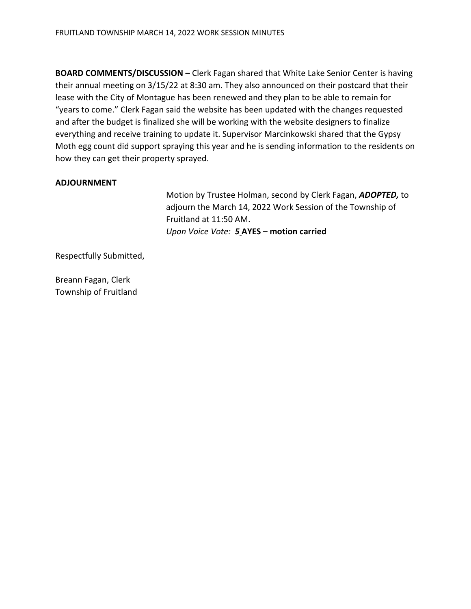BOARD COMMENTS/DISCUSSION – Clerk Fagan shared that White Lake Senior Center is having their annual meeting on 3/15/22 at 8:30 am. They also announced on their postcard that their lease with the City of Montague has been renewed and they plan to be able to remain for "years to come." Clerk Fagan said the website has been updated with the changes requested and after the budget is finalized she will be working with the website designers to finalize everything and receive training to update it. Supervisor Marcinkowski shared that the Gypsy Moth egg count did support spraying this year and he is sending information to the residents on how they can get their property sprayed.

#### ADJOURNMENT

Motion by Trustee Holman, second by Clerk Fagan, ADOPTED, to adjourn the March 14, 2022 Work Session of the Township of Fruitland at 11:50 AM. Upon Voice Vote: 5 AYES – motion carried

Respectfully Submitted,

Breann Fagan, Clerk Township of Fruitland